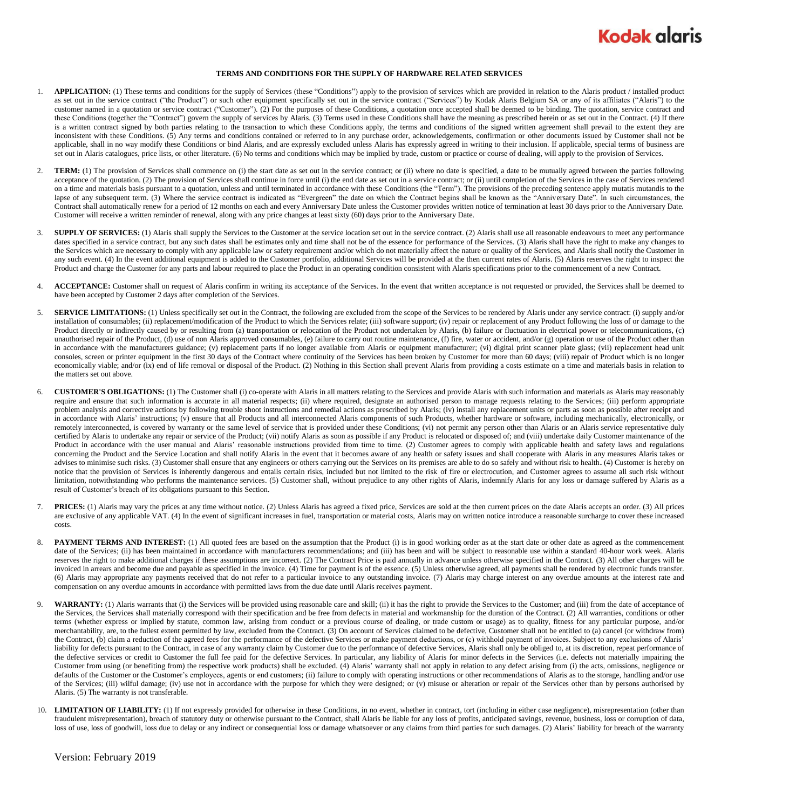

## **TERMS AND CONDITIONS FOR THE SUPPLY OF HARDWARE RELATED SERVICES**

- 1. **APPLICATION:** (1) These terms and conditions for the supply of Services (these "Conditions") apply to the provision of services which are provided in relation to the Alaris product / installed product as set out in the service contract ("the Product") or such other equipment specifically set out in the service contract ("Services") by Kodak Alaris Belgium SA or any of its affiliates ("Alaris") to the customer named in a quotation or service contract ("Customer"). (2) For the purposes of these Conditions, a quotation once accepted shall be deemed to be binding. The quotation, service contract and these Conditions (together the "Contract") govern the supply of services by Alaris. (3) Terms used in these Conditions shall have the meaning as prescribed herein or as set out in the Contract. (4) If there is a written contract signed by both parties relating to the transaction to which these Conditions apply, the terms and conditions of the signed written agreement shall prevail to the extent they are inconsistent with these Conditions. (5) Any terms and conditions contained or referred to in any purchase order, acknowledgements, confirmation or other documents issued by Customer shall not be applicable, shall in no way modify these Conditions or bind Alaris, and are expressly excluded unless Alaris has expressly agreed in writing to their inclusion. If applicable, special terms of business are set out in Alaris catalogues, price lists, or other literature. (6) No terms and conditions which may be implied by trade, custom or practice or course of dealing, will apply to the provision of Services.
- TERM: (1) The provision of Services shall commence on (i) the start date as set out in the service contract; or (ii) where no date is specified, a date to be mutually agreed between the parties following acceptance of the quotation. (2) The provision of Services shall continue in force until (i) the end date as set out in a service contract; or (ii) until completion of the Services in the case of Services rendered on a time and materials basis pursuant to a quotation, unless and until terminated in accordance with these Conditions (the "Term"). The provisions of the preceding sentence apply mutatis mutandis to the lapse of any subsequent term. (3) Where the service contract is indicated as "Evergreen" the date on which the Contract begins shall be known as the "Anniversary Date". In such circumstances, the Contract shall automatically renew for a period of 12 months on each and every Anniversary Date unless the Customer provides written notice of termination at least 30 days prior to the Anniversary Date. Customer will receive a written reminder of renewal, along with any price changes at least sixty (60) days prior to the Anniversary Date.
- 3. **SUPPLY OF SERVICES:** (1) Alaris shall supply the Services to the Customer at the service location set out in the service contract. (2) Alaris shall use all reasonable endeavours to meet any performance dates specified in a service contract, but any such dates shall be estimates only and time shall not be of the essence for performance of the Services. (3) Alaris shall have the right to make any changes to the Services which are necessary to comply with any applicable law or safety requirement and/or which do not materially affect the nature or quality of the Services, and Alaris shall notify the Customer in any such event. (4) In the event additional equipment is added to the Customer portfolio, additional Services will be provided at the then current rates of Alaris. (5) Alaris reserves the right to inspect the Product and charge the Customer for any parts and labour required to place the Product in an operating condition consistent with Alaris specifications prior to the commencement of a new Contract.
- 4. **ACCEPTANCE:** Customer shall on request of Alaris confirm in writing its acceptance of the Services. In the event that written acceptance is not requested or provided, the Services shall be deemed to have been accepted by Customer 2 days after completion of the Services.
- 5. **SERVICE LIMITATIONS:** (1) Unless specifically set out in the Contract, the following are excluded from the scope of the Services to be rendered by Alaris under any service contract: (i) supply and/or installation of consumables; (ii) replacement/modification of the Product to which the Services relate; (iii) software support; (iv) repair or replacement of any Product following the loss of or damage to the Product directly or indirectly caused by or resulting from (a) transportation or relocation of the Product not undertaken by Alaris, (b) failure or fluctuation in electrical power or telecommunications, (c) unauthorised repair of the Product, (d) use of non Alaris approved consumables, (e) failure to carry out routine maintenance, (f) fire, water or accident, and/or (g) operation or use of the Product other than in accordance with the manufacturers guidance; (v) replacement parts if no longer available from Alaris or equipment manufacturer; (vi) digital print scanner plate glass; (vii) replacement head unit consoles, screen or printer equipment in the first 30 days of the Contract where continuity of the Services has been broken by Customer for more than 60 days; (viii) repair of Product which is no longer economically viable; and/or (ix) end of life removal or disposal of the Product. (2) Nothing in this Section shall prevent Alaris from providing a costs estimate on a time and materials basis in relation to the matters set out above.
- <span id="page-0-0"></span>6. **CUSTOMER'S OBLIGATIONS:** (1) The Customer shall (i) co-operate with Alaris in all matters relating to the Services and provide Alaris with such information and materials as Alaris may reasonably require and ensure that such information is accurate in all material respects; (ii) where required, designate an authorised person to manage requests relating to the Services; (iii) perform appropriate problem analysis and corrective actions by following trouble shoot instructions and remedial actions as prescribed by Alaris; (iv) install any replacement units or parts as soon as possible after receipt and in accordance with Alaris' instructions; (v) ensure that all Products and all interconnected Alaris components of such Products, whether hardware or software, including mechanically, electronically, or remotely interconnected, is covered by warranty or the same level of service that is provided under these Conditions; (vi) not permit any person other than Alaris or an Alaris service representative duly certified by Alaris to undertake any repair or service of the Product; (vii) notify Alaris as soon as possible if any Product is relocated or disposed of; and (viii) undertake daily Customer maintenance of the Product in accordance with the user manual and Alaris' reasonable instructions provided from time to time. (2) Customer agrees to comply with applicable health and safety laws and regulations concerning the Product and the Service Location and shall notify Alaris in the event that it becomes aware of any health or safety issues and shall cooperate with Alaris in any measures Alaris takes or advises to minimise such risks. (3) Customer shall ensure that any engineers or others carrying out the Services on its premises are able to do so safely and without risk to health**.** (4) Customer is hereby on notice that the provision of Services is inherently dangerous and entails certain risks, included but not limited to the risk of fire or electrocution, and Customer agrees to assume all such risk without limitation, notwithstanding who performs the maintenance services. (5) Customer shall, without prejudice to any other rights of Alaris, indemnify Alaris for any loss or damage suffered by Alaris as a result of Customer's breach of its obligations pursuant to this Section.
- 7. **PRICES:** (1) Alaris may vary the prices at any time without notice. (2) Unless Alaris has agreed a fixed price, Services are sold at the then current prices on the date Alaris accepts an order. (3) All prices are exclusive of any applicable VAT. (4) In the event of significant increases in fuel, transportation or material costs, Alaris may on written notice introduce a reasonable surcharge to cover these increased costs.
- 8. PAYMENT TERMS AND INTEREST: (1) All quoted fees are based on the assumption that the Product (i) is in good working order as at the start date or other date as agreed as the commencement date of the Services; (ii) has been maintained in accordance with manufacturers recommendations; and (iii) has been and will be subject to reasonable use within a standard 40-hour work week. Alaris reserves the right to make additional charges if these assumptions are incorrect. (2) The Contract Price is paid annually in advance unless otherwise specified in the Contract. (3) All other charges will be invoiced in arrears and become due and payable as specified in the invoice. (4) Time for payment is of the essence. (5) Unless otherwise agreed, all payments shall be rendered by electronic funds transfer. (6) Alaris may appropriate any payments received that do not refer to a particular invoice to any outstanding invoice. (7) Alaris may charge interest on any overdue amounts at the interest rate and compensation on any overdue amounts in accordance with permitted laws from the due date until Alaris receives payment.
- WARRANTY: (1) Alaris warrants that (i) the Services will be provided using reasonable care and skill; (ii) it has the right to provide the Services to the Customer; and (iii) from the date of acceptance of the Services, the Services shall materially correspond with their specification and be free from defects in material and workmanship for the duration of the Contract. (2) All warranties, conditions or other terms (whether express or implied by statute, common law, arising from conduct or a previous course of dealing, or trade custom or usage) as to quality, fitness for any particular purpose, and/or merchantability, are, to the fullest extent permitted by law, excluded from the Contract. (3) On account of Services claimed to be defective, Customer shall not be entitled to (a) cancel (or withdraw from) the Contract, (b) claim a reduction of the agreed fees for the performance of the defective Services or make payment deductions, or (c) withhold payment of invoices. Subject to any exclusions of Alaris' liability for defects pursuant to the Contract, in case of any warranty claim by Customer due to the performance of defective Services, Alaris shall only be obliged to, at its discretion, repeat performance of the defective services or credit to Customer the full fee paid for the defective Services. In particular, any liability of Alaris for minor defects in the Services (i.e. defects not materially impairing the Customer from using (or benefiting from) the respective work products) shall be excluded. (4) Alaris' warranty shall not apply in relation to any defect arising from (i) the acts, omissions, negligence or defaults of the Customer or the Customer's employees, agents or end customers; (ii) failure to comply with operating instructions or other recommendations of Alaris as to the storage, handling and/or use of the Services; (iii) wilful damage; (iv) use not in accordance with the purpose for which they were designed; or (v) misuse or alteration or repair of the Services other than by persons authorised by Alaris. (5) The warranty is not transferable.
- 10. LIMITATION OF LIABILITY: (1) If not expressly provided for otherwise in these Conditions, in no event, whether in contract, tort (including in either case negligence), misrepresentation (other than fraudulent misrepresentation), breach of statutory duty or otherwise pursuant to the Contract, shall Alaris be liable for any loss of profits, anticipated savings, revenue, business, loss or corruption of data, loss of use, loss of goodwill, loss due to delay or any indirect or consequential loss or damage whatsoever or any claims from third parties for such damages. (2) Alaris' liability for breach of the warranty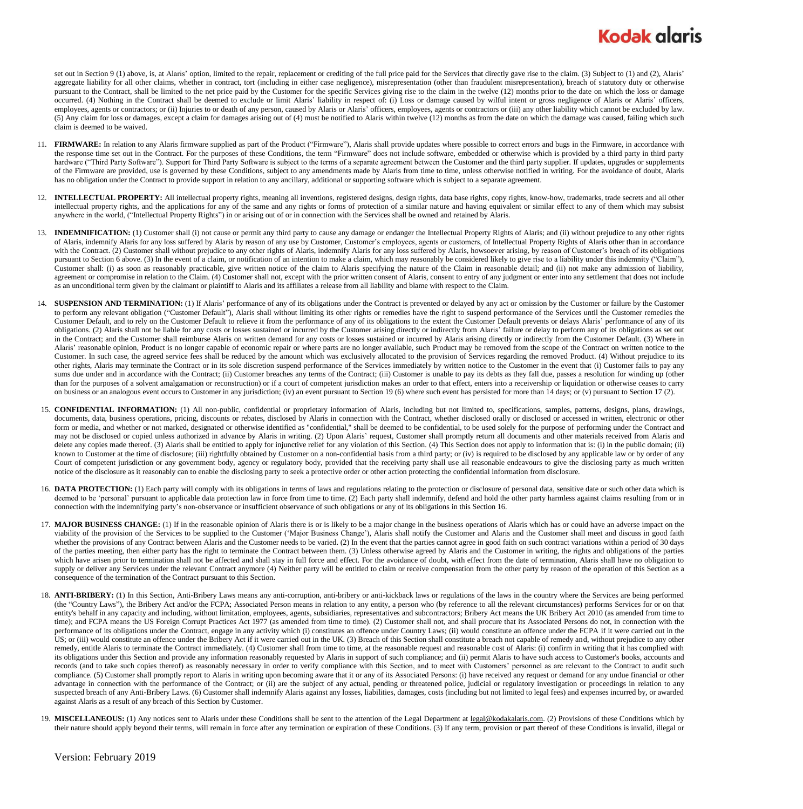set out in Section 9 (1) above, is, at Alaris' option, limited to the repair, replacement or crediting of the full price paid for the Services that directly gave rise to the claim. (3) Subject to (1) and (2), Alaris' aggregate liability for all other claims, whether in contract, tort (including in either case negligence), misrepresentation (other than fraudulent misrepresentation), breach of statutory duty or otherwise pursuant to the Contract, shall be limited to the net price paid by the Customer for the specific Services giving rise to the claim in the twelve (12) months prior to the date on which the loss or damage occurred. (4) Nothing in the Contract shall be deemed to exclude or limit Alaris' liability in respect of: (i) Loss or damage caused by wilful intent or gross negligence of Alaris or Alaris' officers, employees, agents or contractors; or (ii) Injuries to or death of any person, caused by Alaris or Alaris' officers, employees, agents or contractors or (iii) any other liability which cannot be excluded by law. (5) Any claim for loss or damages, except a claim for damages arising out of (4) must be notified to Alaris within twelve (12) months as from the date on which the damage was caused, failing which such claim is deemed to be waived.

- 11. FIRMWARE: In relation to any Alaris firmware supplied as part of the Product ("Firmware"), Alaris shall provide updates where possible to correct errors and bugs in the Firmware, in accordance with the response time set out in the Contract. For the purposes of these Conditions, the term "Firmware" does not include software, embedded or otherwise which is provided by a third party in third party hardware ("Third Party Software"). Support for Third Party Software is subject to the terms of a separate agreement between the Customer and the third party supplier. If updates, upgrades or supplements of the Firmware are provided, use is governed by these Conditions, subject to any amendments made by Alaris from time to time, unless otherwise notified in writing. For the avoidance of doubt, Alaris has no obligation under the Contract to provide support in relation to any ancillary, additional or supporting software which is subject to a separate agreement.
- 12. **INTELLECTUAL PROPERTY:** All intellectual property rights, meaning all inventions, registered designs, design rights, data base rights, copy rights, know-how, trademarks, trade secrets and all other intellectual property rights, and the applications for any of the same and any rights or forms of protection of a similar nature and having equivalent or similar effect to any of them which may subsist anywhere in the world, ("Intellectual Property Rights") in or arising out of or in connection with the Services shall be owned and retained by Alaris.
- 13. **INDEMNIFICATION:** (1) Customer shall (i) not cause or permit any third party to cause any damage or endanger the Intellectual Property Rights of Alaris; and (ii) without prejudice to any other rights of Alaris, indemnify Alaris for any loss suffered by Alaris by reason of any use by Customer, Customer's employees, agents or customers, of Intellectual Property Rights of Alaris other than in accordance with the Contract. (2) Customer shall without prejudice to any other rights of Alaris, indemnify Alaris for any loss suffered by Alaris, howsoever arising, by reason of Customer's breach of its obligations pursuant to Sectio[n 6](#page-0-0) above. (3) In the event of a claim, or notification of an intention to make a claim, which may reasonably be considered likely to give rise to a liability under this indemnity ("Claim"), Customer shall: (i) as soon as reasonably practicable, give written notice of the claim to Alaris specifying the nature of the Claim in reasonable detail; and (ii) not make any admission of liability, agreement or compromise in relation to the Claim. (4) Customer shall not, except with the prior written consent of Alaris, consent to entry of any judgment or enter into any settlement that does not include as an unconditional term given by the claimant or plaintiff to Alaris and its affiliates a release from all liability and blame with respect to the Claim.
- 14. **SUSPENSION AND TERMINATION:** (1) If Alaris' performance of any of its obligations under the Contract is prevented or delayed by any act or omission by the Customer or failure by the Customer to perform any relevant obligation ("Customer Default"), Alaris shall without limiting its other rights or remedies have the right to suspend performance of the Services until the Customer remedies the Customer Default, and to rely on the Customer Default to relieve it from the performance of any of its obligations to the extent the Customer Default prevents or delays Alaris' performance of any of its obligations. (2) Alaris shall not be liable for any costs or losses sustained or incurred by the Customer arising directly or indirectly from Alaris' failure or delay to perform any of its obligations as set out in the Contract; and the Customer shall reimburse Alaris on written demand for any costs or losses sustained or incurred by Alaris arising directly or indirectly from the Customer Default. (3) Where in Alaris' reasonable opinion, Product is no longer capable of economic repair or where parts are no longer available, such Product may be removed from the scope of the Contract on written notice to the Customer. In such case, the agreed service fees shall be reduced by the amount which was exclusively allocated to the provision of Services regarding the removed Product. (4) Without prejudice to its other rights, Alaris may terminate the Contract or in its sole discretion suspend performance of the Services immediately by written notice to the Customer in the event that (i) Customer fails to pay any sums due under and in accordance with the Contract; (ii) Customer breaches any terms of the Contract; (iii) Customer is unable to pay its debts as they fall due, passes a resolution for winding up (other than for the purposes of a solvent amalgamation or reconstruction) or if a court of competent jurisdiction makes an order to that effect, enters into a receivership or liquidation or otherwise ceases to carry on business or an analogous event occurs to Customer in any jurisdiction; (iv) an event pursuant to Section 19 (6) where such event has persisted for more than 14 days; or (v) pursuant to Section [17](#page-1-0) (2).
- 15. **CONFIDENTIAL INFORMATION:** (1) All non-public, confidential or proprietary information of Alaris, including but not limited to, specifications, samples, patterns, designs, plans, drawings, documents, data, business operations, pricing, discounts or rebates, disclosed by Alaris in connection with the Contract, whether disclosed orally or disclosed or accessed in written, electronic or other form or media, and whether or not marked, designated or otherwise identified as "confidential," shall be deemed to be confidential, to be used solely for the purpose of performing under the Contract and may not be disclosed or copied unless authorized in advance by Alaris in writing. (2) Upon Alaris' request, Customer shall promptly return all documents and other materials received from Alaris and delete any copies made thereof. (3) Alaris shall be entitled to apply for injunctive relief for any violation of this Section. (4) This Section does not apply to information that is: (i) in the public domain; (ii) known to Customer at the time of disclosure; (iii) rightfully obtained by Customer on a non-confidential basis from a third party; or (iv) is required to be disclosed by any applicable law or by order of any Court of competent jurisdiction or any government body, agency or regulatory body, provided that the receiving party shall use all reasonable endeavours to give the disclosing party as much written notice of the disclosure as it reasonably can to enable the disclosing party to seek a protective order or other action protecting the confidential information from disclosure.
- <span id="page-1-1"></span>16. DATA PROTECTION: (1) Each party will comply with its obligations in terms of laws and regulations relating to the protection or disclosure of personal data, sensitive date or such other data which is deemed to be 'personal' pursuant to applicable data protection law in force from time to time. (2) Each party shall indemnify, defend and hold the other party harmless against claims resulting from or in connection with the indemnifying party's non-observance or insufficient observance of such obligations or any of its obligations in this Sectio[n 16.](#page-1-1)
- <span id="page-1-0"></span>17. MAJOR BUSINESS CHANGE: (1) If in the reasonable opinion of Alaris there is or is likely to be a major change in the business operations of Alaris which has or could have an adverse impact on the viability of the provision of the Services to be supplied to the Customer ('Major Business Change'), Alaris shall notify the Customer and Alaris and the Customer shall meet and discuss in good faith whether the provisions of any Contract between Alaris and the Customer needs to be varied. (2) In the event that the parties cannot agree in good faith on such contract variations within a period of 30 days of the parties meeting, then either party has the right to terminate the Contract between them. (3) Unless otherwise agreed by Alaris and the Customer in writing, the rights and obligations of the parties which have arisen prior to termination shall not be affected and shall stay in full force and effect. For the avoidance of doubt, with effect from the date of termination, Alaris shall have no obligation to supply or deliver any Services under the relevant Contract anymore (4) Neither party will be entitled to claim or receive compensation from the other party by reason of the operation of this Section as a consequence of the termination of the Contract pursuant to this Section.
- 18. ANTI-BRIBERY: (1) In this Section, Anti-Bribery Laws means any anti-corruption, anti-bribery or anti-kickback laws or regulations of the laws in the country where the Services are being performed (the "Country Laws"), the Bribery Act and/or the FCPA; Associated Person means in relation to any entity, a person who (by reference to all the relevant circumstances) performs Services for or on that entity's behalf in any capacity and including, without limitation, employees, agents, subsidiaries, representatives and subcontractors; Bribery Act means the UK Bribery Act 2010 (as amended from time to time); and FCPA means the US Foreign Corrupt Practices Act 1977 (as amended from time to time). (2) Customer shall not, and shall procure that its Associated Persons do not, in connection with the performance of its obligations under the Contract, engage in any activity which (i) constitutes an offence under Country Laws; (ii) would constitute an offence under the FCPA if it were carried out in the US; or (iii) would constitute an offence under the Bribery Act if it were carried out in the UK. (3) Breach of this Section shall constitute a breach not capable of remedy and, without prejudice to any other remedy, entitle Alaris to terminate the Contract immediately. (4) Customer shall from time to time, at the reasonable request and reasonable cost of Alaris: (i) confirm in writing that it has complied with its obligations under this Section and provide any information reasonably requested by Alaris in support of such compliance; and (ii) permit Alaris to have such access to Customer's books, accounts and records (and to take such copies thereof) as reasonably necessary in order to verify compliance with this Section, and to meet with Customers' personnel as are relevant to the Contract to audit such compliance. (5) Customer shall promptly report to Alaris in writing upon becoming aware that it or any of its Associated Persons: (i) have received any request or demand for any undue financial or other advantage in connection with the performance of the Contract; or (ii) are the subject of any actual, pending or threatened police, judicial or regulatory investigation or proceedings in relation to any suspected breach of any Anti-Bribery Laws. (6) Customer shall indemnify Alaris against any losses, liabilities, damages, costs (including but not limited to legal fees) and expenses incurred by, or awarded against Alaris as a result of any breach of this Section by Customer.
- 19. MISCELLANEOUS: (1) Any notices sent to Alaris under these Conditions shall be sent to the attention of the Legal Department at [legal@kodakalaris.com.](mailto:legal@kodakalaris.com) (2) Provisions of these Conditions which by their nature should apply beyond their terms, will remain in force after any termination or expiration of these Conditions. (3) If any term, provision or part thereof of these Conditions is invalid, illegal or